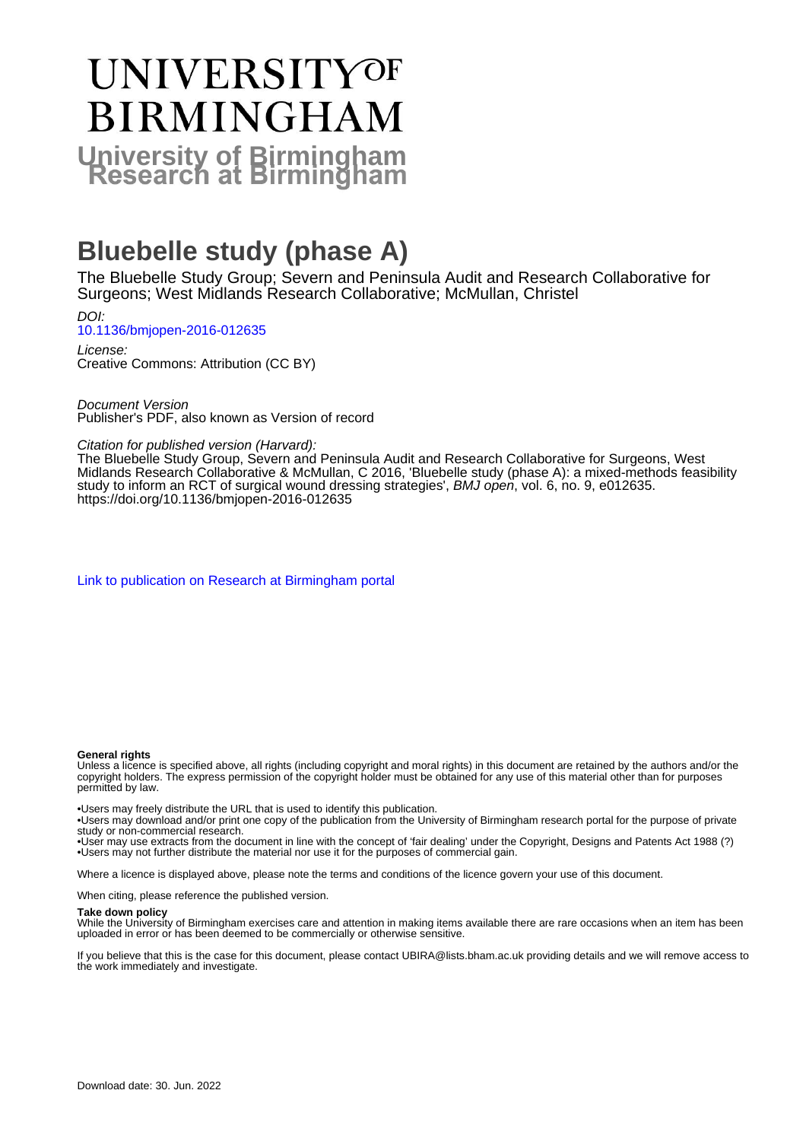# UNIVERSITYOF **BIRMINGHAM University of Birmingham**

### **Bluebelle study (phase A)**

The Bluebelle Study Group; Severn and Peninsula Audit and Research Collaborative for Surgeons; West Midlands Research Collaborative; McMullan, Christel

DOI: [10.1136/bmjopen-2016-012635](https://doi.org/10.1136/bmjopen-2016-012635)

License: Creative Commons: Attribution (CC BY)

Document Version Publisher's PDF, also known as Version of record

#### Citation for published version (Harvard):

The Bluebelle Study Group, Severn and Peninsula Audit and Research Collaborative for Surgeons, West Midlands Research Collaborative & McMullan, C 2016, 'Bluebelle study (phase A): a mixed-methods feasibility study to inform an RCT of surgical wound dressing strategies', BMJ open, vol. 6, no. 9, e012635. <https://doi.org/10.1136/bmjopen-2016-012635>

[Link to publication on Research at Birmingham portal](https://birmingham.elsevierpure.com/en/publications/91fcfd08-bac9-4235-91fd-9ea69965c4f0)

#### **General rights**

Unless a licence is specified above, all rights (including copyright and moral rights) in this document are retained by the authors and/or the copyright holders. The express permission of the copyright holder must be obtained for any use of this material other than for purposes permitted by law.

• Users may freely distribute the URL that is used to identify this publication.

• Users may download and/or print one copy of the publication from the University of Birmingham research portal for the purpose of private study or non-commercial research.

• User may use extracts from the document in line with the concept of 'fair dealing' under the Copyright, Designs and Patents Act 1988 (?) • Users may not further distribute the material nor use it for the purposes of commercial gain.

Where a licence is displayed above, please note the terms and conditions of the licence govern your use of this document.

When citing, please reference the published version.

#### **Take down policy**

While the University of Birmingham exercises care and attention in making items available there are rare occasions when an item has been uploaded in error or has been deemed to be commercially or otherwise sensitive.

If you believe that this is the case for this document, please contact UBIRA@lists.bham.ac.uk providing details and we will remove access to the work immediately and investigate.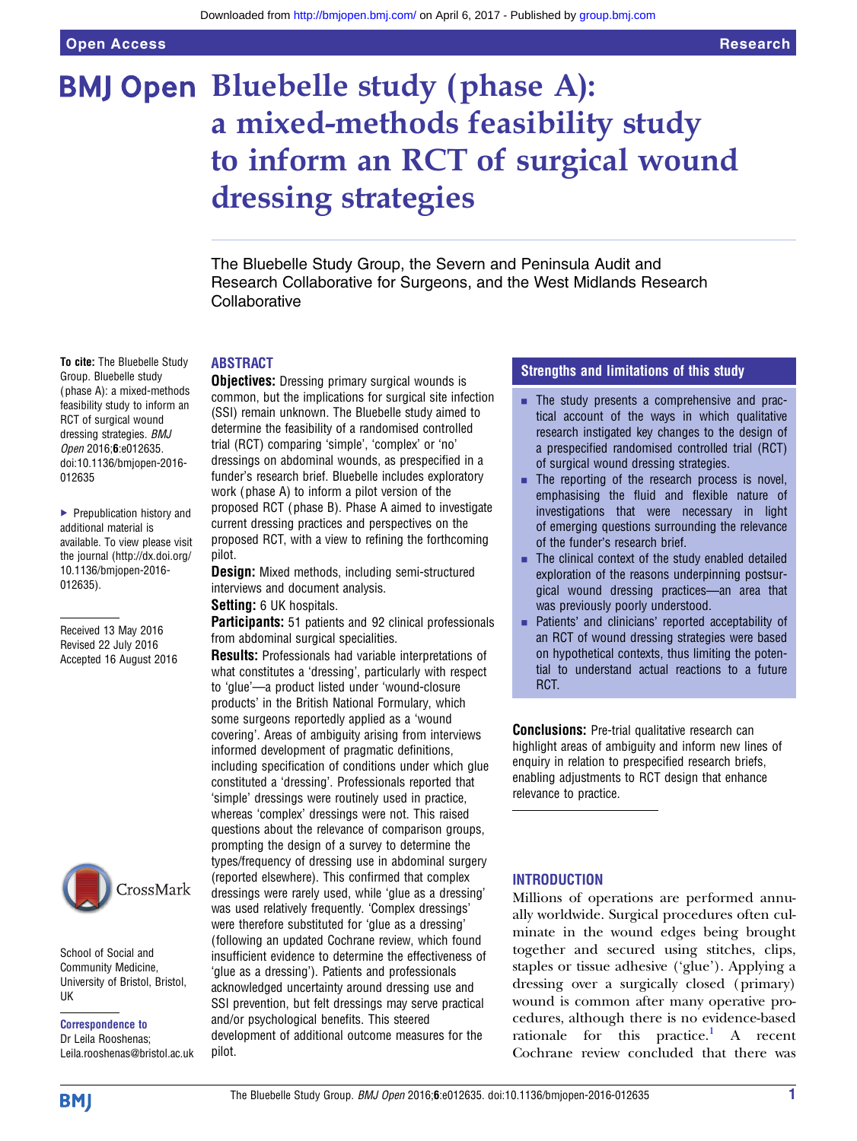## BMJ Open Bluebelle study (phase A): a mixed-methods feasibility study to inform an RCT of surgical wound dressing strategies

The Bluebelle Study Group, the Severn and Peninsula Audit and Research Collaborative for Surgeons, and the West Midlands Research **Collaborative** 

#### ABSTRACT

**Objectives:** Dressing primary surgical wounds is common, but the implications for surgical site infection (SSI) remain unknown. The Bluebelle study aimed to determine the feasibility of a randomised controlled trial (RCT) comparing 'simple', 'complex' or 'no' dressings on abdominal wounds, as prespecified in a funder's research brief. Bluebelle includes exploratory work ( phase A) to inform a pilot version of the proposed RCT ( phase B). Phase A aimed to investigate current dressing practices and perspectives on the proposed RCT, with a view to refining the forthcoming pilot.

**Design:** Mixed methods, including semi-structured interviews and document analysis.

Setting: 6 UK hospitals.

Participants: 51 patients and 92 clinical professionals from abdominal surgical specialities.

Results: Professionals had variable interpretations of what constitutes a 'dressing', particularly with respect to 'glue'—a product listed under 'wound-closure products' in the British National Formulary, which some surgeons reportedly applied as a 'wound covering'. Areas of ambiguity arising from interviews informed development of pragmatic definitions, including specification of conditions under which glue constituted a 'dressing'. Professionals reported that 'simple' dressings were routinely used in practice, whereas 'complex' dressings were not. This raised questions about the relevance of comparison groups, prompting the design of a survey to determine the types/frequency of dressing use in abdominal surgery (reported elsewhere). This confirmed that complex dressings were rarely used, while 'glue as a dressing' was used relatively frequently. 'Complex dressings' were therefore substituted for 'glue as a dressing' (following an updated Cochrane review, which found insufficient evidence to determine the effectiveness of 'glue as a dressing'). Patients and professionals acknowledged uncertainty around dressing use and SSI prevention, but felt dressings may serve practical and/or psychological benefits. This steered development of additional outcome measures for the pilot.

#### Strengths and limitations of this study

- **The study presents a comprehensive and prac**tical account of the ways in which qualitative research instigated key changes to the design of a prespecified randomised controlled trial (RCT) of surgical wound dressing strategies.
- The reporting of the research process is novel. emphasising the fluid and flexible nature of investigations that were necessary in light of emerging questions surrounding the relevance of the funder's research brief.
- $\blacksquare$  The clinical context of the study enabled detailed exploration of the reasons underpinning postsurgical wound dressing practices—an area that was previously poorly understood.
- Patients' and clinicians' reported acceptability of an RCT of wound dressing strategies were based on hypothetical contexts, thus limiting the potential to understand actual reactions to a future RCT.

**Conclusions:** Pre-trial qualitative research can highlight areas of ambiguity and inform new lines of enquiry in relation to prespecified research briefs, enabling adjustments to RCT design that enhance relevance to practice.

#### INTRODUCTION

Millions of operations are performed annually worldwide. Surgical procedures often culminate in the wound edges being brought together and secured using stitches, clips, staples or tissue adhesive ('glue'). Applying a dressing over a surgically closed (primary) wound is common after many operative procedures, although there is no evidence-based rationale for this practice.<sup>[1](#page-11-0)</sup> A recent Cochrane review concluded that there was

Group. Bluebelle study ( phase A): a mixed-methods feasibility study to inform an RCT of surgical wound dressing strategies. BMJ Open 2016;6:e012635. doi:10.1136/bmjopen-2016- 012635

To cite: The Bluebelle Study

▶ Prepublication history and additional material is available. To view please visit the journal [\(http://dx.doi.org/](http://dx.doi.org/10.1136/bmjopen-2016-012635) [10.1136/bmjopen-2016-](http://dx.doi.org/10.1136/bmjopen-2016-012635) [012635\)](http://dx.doi.org/10.1136/bmjopen-2016-012635).

Received 13 May 2016 Revised 22 July 2016 Accepted 16 August 2016



School of Social and Community Medicine, University of Bristol, Bristol, UK

Correspondence to Dr Leila Rooshenas; Leila.rooshenas@bristol.ac.uk

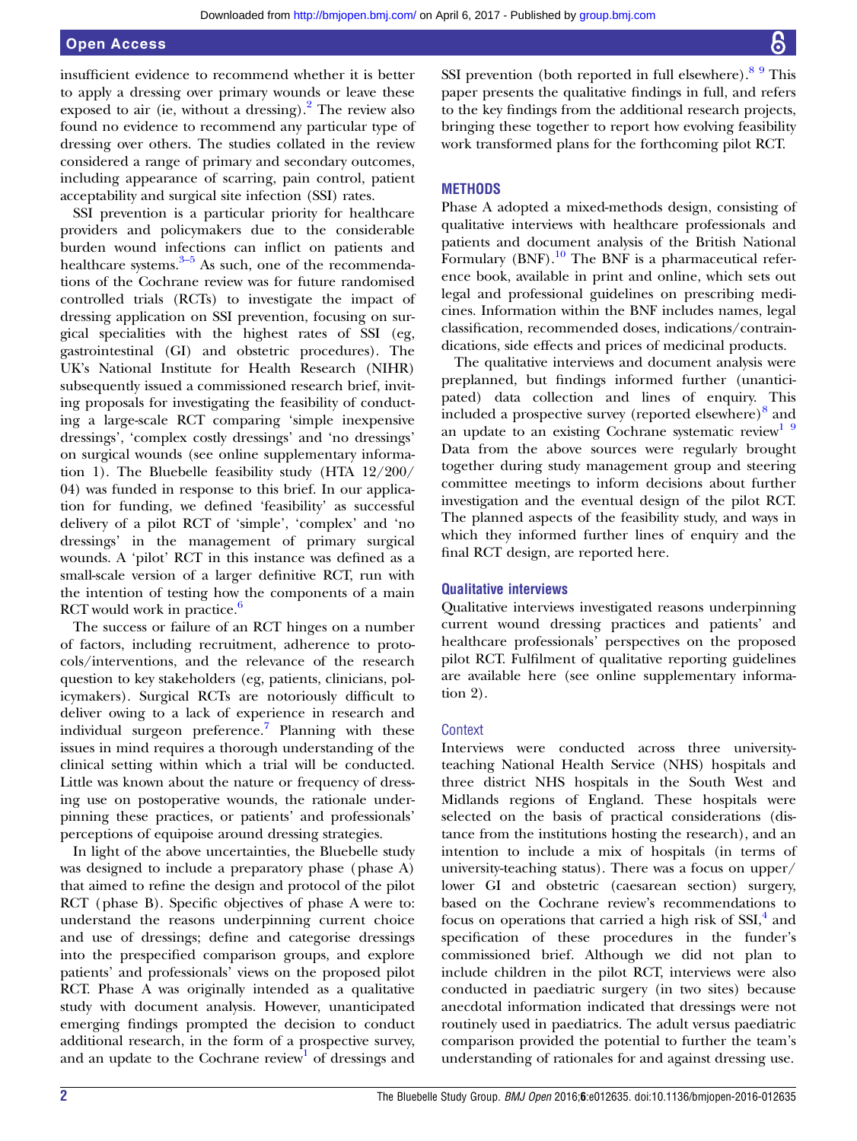insufficient evidence to recommend whether it is better to apply a dressing over primary wounds or leave these exposed to air (ie, without a dressing). <sup>[2](#page-11-0)</sup> The review also found no evidence to recommend any particular type of dressing over others. The studies collated in the review considered a range of primary and secondary outcomes, including appearance of scarring, pain control, patient acceptability and surgical site infection (SSI) rates.

SSI prevention is a particular priority for healthcare providers and policymakers due to the considerable burden wound in[fec](#page-11-0)tions can inflict on patients and healthcare systems. $3-5$  As such, one of the recommendations of the Cochrane review was for future randomised controlled trials (RCTs) to investigate the impact of dressing application on SSI prevention, focusing on surgical specialities with the highest rates of SSI (eg, gastrointestinal (GI) and obstetric procedures). The UK's National Institute for Health Research (NIHR) subsequently issued a commissioned research brief, inviting proposals for investigating the feasibility of conducting a large-scale RCT comparing 'simple inexpensive dressings', 'complex costly dressings' and 'no dressings' on surgical wounds (see online supplementary information 1). The Bluebelle feasibility study (HTA 12/200/ 04) was funded in response to this brief. In our application for funding, we defined 'feasibility' as successful delivery of a pilot RCT of 'simple', 'complex' and 'no dressings' in the management of primary surgical wounds. A 'pilot' RCT in this instance was defined as a small-scale version of a larger definitive RCT, run with the intention of testing how the components of a main RCT would work in practice.<sup>[6](#page-11-0)</sup>

The success or failure of an RCT hinges on a number of factors, including recruitment, adherence to protocols/interventions, and the relevance of the research question to key stakeholders (eg, patients, clinicians, policymakers). Surgical RCTs are notoriously difficult to deliver owing to a lack of experience in research and individual surgeon preference.<sup>7</sup> Planning with these issues in mind requires a thorough understanding of the clinical setting within which a trial will be conducted. Little was known about the nature or frequency of dressing use on postoperative wounds, the rationale underpinning these practices, or patients' and professionals' perceptions of equipoise around dressing strategies.

In light of the above uncertainties, the Bluebelle study was designed to include a preparatory phase (phase A) that aimed to refine the design and protocol of the pilot RCT (phase B). Specific objectives of phase A were to: understand the reasons underpinning current choice and use of dressings; define and categorise dressings into the prespecified comparison groups, and explore patients' and professionals' views on the proposed pilot RCT. Phase A was originally intended as a qualitative study with document analysis. However, unanticipated emerging findings prompted the decision to conduct additional research, in the form of a prospective survey, and an update to the Cochrane review<sup>[1](#page-11-0)</sup> of dressings and

SSI prevention (both reported in full elsewhere).<sup>[8 9](#page-11-0)</sup> This paper presents the qualitative findings in full, and refers to the key findings from the additional research projects, bringing these together to report how evolving feasibility work transformed plans for the forthcoming pilot RCT.

#### **METHODS**

Phase A adopted a mixed-methods design, consisting of qualitative interviews with healthcare professionals and patients and document analysis of the British National Formulary (BNF). $^{10}$  $^{10}$  $^{10}$  The BNF is a pharmaceutical reference book, available in print and online, which sets out legal and professional guidelines on prescribing medicines. Information within the BNF includes names, legal classification, recommended doses, indications/contraindications, side effects and prices of medicinal products.

The qualitative interviews and document analysis were preplanned, but findings informed further (unanticipated) data collection and lines of enquiry. This included a prospective survey (reported elsewhere) $\delta$  and an update to an existing Cochrane systematic review<sup>1 9</sup> Data from the above sources were regularly brought together during study management group and steering committee meetings to inform decisions about further investigation and the eventual design of the pilot RCT. The planned aspects of the feasibility study, and ways in which they informed further lines of enquiry and the final RCT design, are reported here.

#### Qualitative interviews

Qualitative interviews investigated reasons underpinning current wound dressing practices and patients' and healthcare professionals' perspectives on the proposed pilot RCT. Fulfilment of qualitative reporting guidelines are available here (see online supplementary information 2).

#### **Context**

Interviews were conducted across three universityteaching National Health Service (NHS) hospitals and three district NHS hospitals in the South West and Midlands regions of England. These hospitals were selected on the basis of practical considerations (distance from the institutions hosting the research), and an intention to include a mix of hospitals (in terms of university-teaching status). There was a focus on upper/ lower GI and obstetric (caesarean section) surgery, based on the Cochrane review's recommendations to focus on operations that carried a high risk of  $\text{SSI},^4$  $\text{SSI},^4$  and specification of these procedures in the funder's commissioned brief. Although we did not plan to include children in the pilot RCT, interviews were also conducted in paediatric surgery (in two sites) because anecdotal information indicated that dressings were not routinely used in paediatrics. The adult versus paediatric comparison provided the potential to further the team's understanding of rationales for and against dressing use.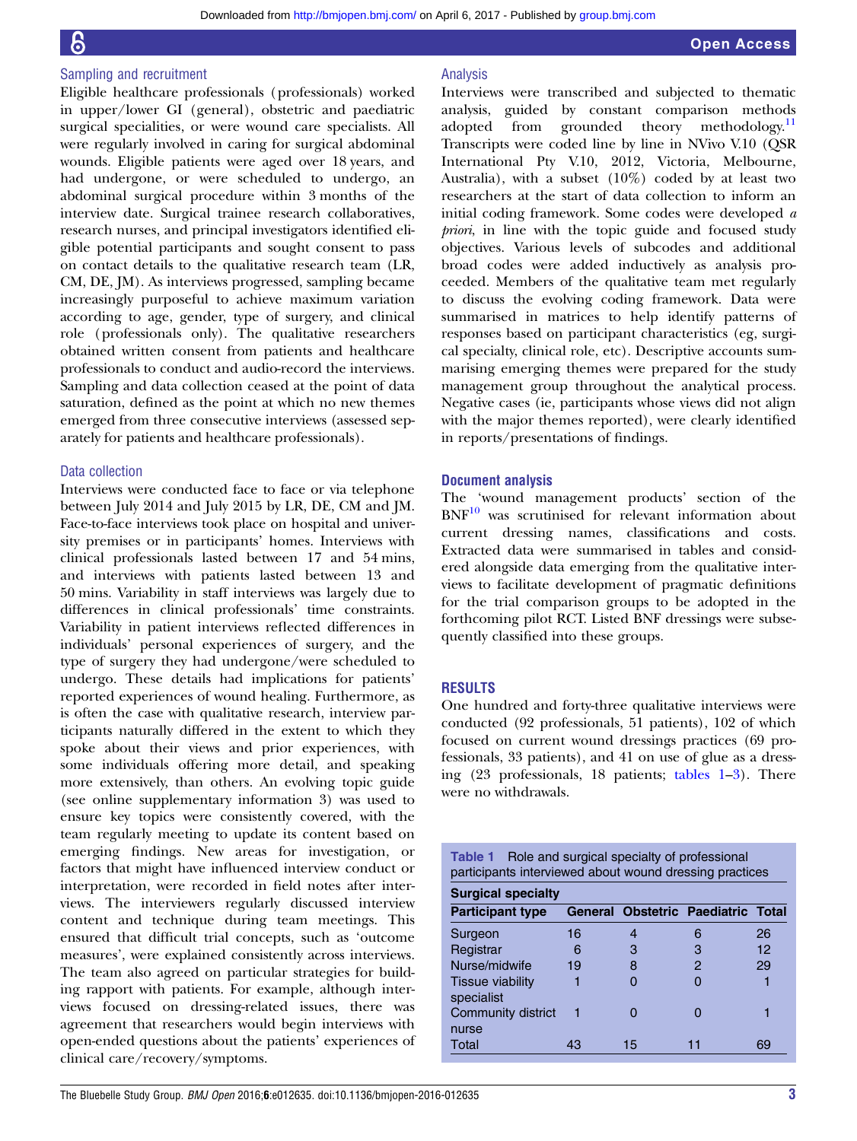#### Sampling and recruitment

Eligible healthcare professionals (professionals) worked in upper/lower GI (general), obstetric and paediatric surgical specialities, or were wound care specialists. All were regularly involved in caring for surgical abdominal wounds. Eligible patients were aged over 18 years, and had undergone, or were scheduled to undergo, an abdominal surgical procedure within 3 months of the interview date. Surgical trainee research collaboratives, research nurses, and principal investigators identified eligible potential participants and sought consent to pass on contact details to the qualitative research team (LR, CM, DE, JM). As interviews progressed, sampling became increasingly purposeful to achieve maximum variation according to age, gender, type of surgery, and clinical role (professionals only). The qualitative researchers obtained written consent from patients and healthcare professionals to conduct and audio-record the interviews. Sampling and data collection ceased at the point of data saturation, defined as the point at which no new themes emerged from three consecutive interviews (assessed separately for patients and healthcare professionals).

#### Data collection

Interviews were conducted face to face or via telephone between July 2014 and July 2015 by LR, DE, CM and JM. Face-to-face interviews took place on hospital and university premises or in participants' homes. Interviews with clinical professionals lasted between 17 and 54 mins, and interviews with patients lasted between 13 and 50 mins. Variability in staff interviews was largely due to differences in clinical professionals' time constraints. Variability in patient interviews reflected differences in individuals' personal experiences of surgery, and the type of surgery they had undergone/were scheduled to undergo. These details had implications for patients' reported experiences of wound healing. Furthermore, as is often the case with qualitative research, interview participants naturally differed in the extent to which they spoke about their views and prior experiences, with some individuals offering more detail, and speaking more extensively, than others. An evolving topic guide (see online supplementary information 3) was used to ensure key topics were consistently covered, with the team regularly meeting to update its content based on emerging findings. New areas for investigation, or factors that might have influenced interview conduct or interpretation, were recorded in field notes after interviews. The interviewers regularly discussed interview content and technique during team meetings. This ensured that difficult trial concepts, such as 'outcome measures', were explained consistently across interviews. The team also agreed on particular strategies for building rapport with patients. For example, although interviews focused on dressing-related issues, there was agreement that researchers would begin interviews with open-ended questions about the patients' experiences of clinical care/recovery/symptoms.

#### Analysis

Interviews were transcribed and subjected to thematic analysis, guided by constant comparison methods adopted from grounded theory methodology.<sup>[11](#page-11-0)</sup> Transcripts were coded line by line in NVivo V.10 (QSR International Pty V.10, 2012, Victoria, Melbourne, Australia), with a subset  $(10\%)$  coded by at least two researchers at the start of data collection to inform an initial coding framework. Some codes were developed a priori, in line with the topic guide and focused study objectives. Various levels of subcodes and additional broad codes were added inductively as analysis proceeded. Members of the qualitative team met regularly to discuss the evolving coding framework. Data were summarised in matrices to help identify patterns of responses based on participant characteristics (eg, surgical specialty, clinical role, etc). Descriptive accounts summarising emerging themes were prepared for the study management group throughout the analytical process. Negative cases (ie, participants whose views did not align with the major themes reported), were clearly identified in reports/presentations of findings.

#### Document analysis

The 'wound management products' section of the  $BNF<sup>10</sup>$  $BNF<sup>10</sup>$  $BNF<sup>10</sup>$  was scrutinised for relevant information about current dressing names, classifications and costs. Extracted data were summarised in tables and considered alongside data emerging from the qualitative interviews to facilitate development of pragmatic definitions for the trial comparison groups to be adopted in the forthcoming pilot RCT. Listed BNF dressings were subsequently classified into these groups.

#### RESULTS

One hundred and forty-three qualitative interviews were conducted (92 professionals, 51 patients), 102 of which focused on current wound dressings practices (69 professionals, 33 patients), and 41 on use of glue as a dressing (23 professionals, 18 patients; tables 1–[3](#page-4-0)). There were no withdrawals.

| <b>Table 1</b> Role and surgical specialty of professional<br>participants interviewed about wound dressing practices |    |    |                                    |    |
|-----------------------------------------------------------------------------------------------------------------------|----|----|------------------------------------|----|
| <b>Surgical specialty</b>                                                                                             |    |    |                                    |    |
| <b>Participant type</b>                                                                                               |    |    | General Obstetric Paediatric Total |    |
| Surgeon                                                                                                               | 16 |    | 6                                  | 26 |
| Registrar                                                                                                             | 6  | 3  | З                                  | 12 |
| Nurse/midwife                                                                                                         | 19 | 8  | 2                                  | 29 |
| Tissue viability<br>specialist                                                                                        |    |    |                                    |    |
| Community district<br>nurse                                                                                           |    |    |                                    |    |
| Total                                                                                                                 | 43 | 15 |                                    | 69 |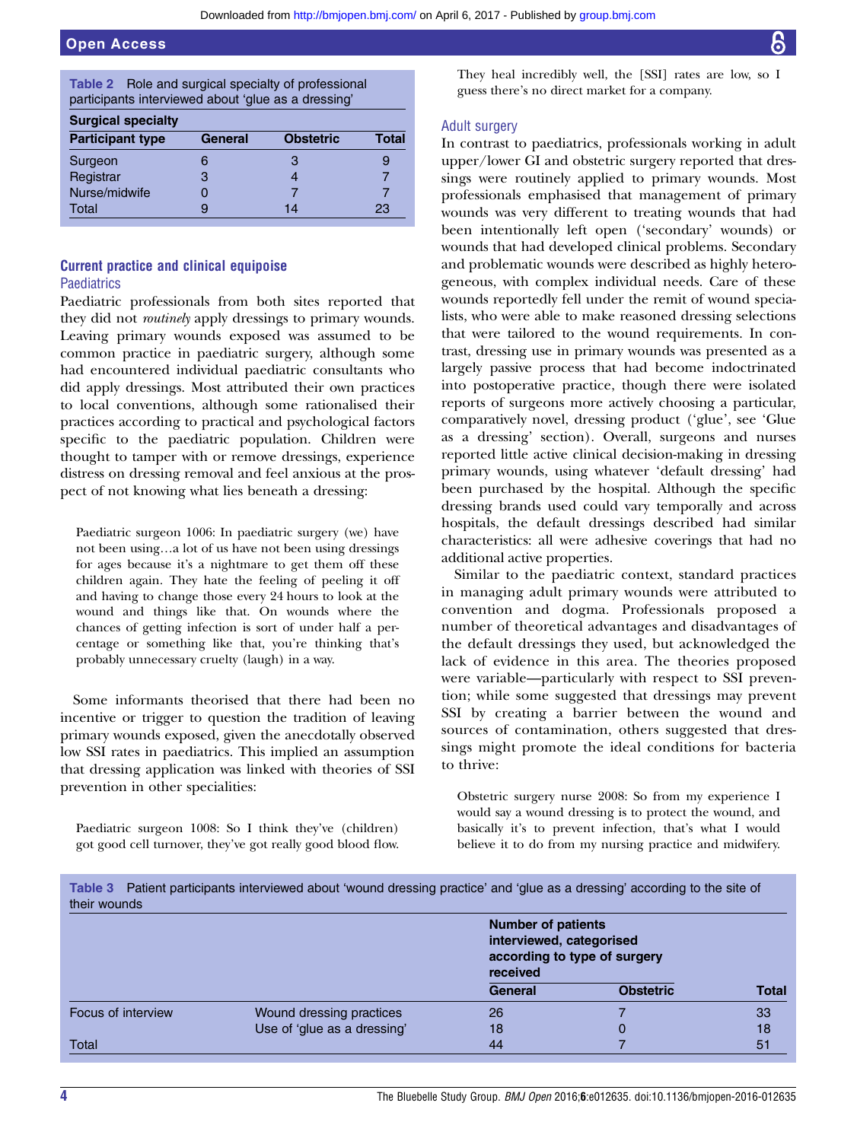<span id="page-4-0"></span>

| Table 2 Role and surgical specialty of professional<br>participants interviewed about 'glue as a dressing' |         |                  |       |
|------------------------------------------------------------------------------------------------------------|---------|------------------|-------|
| <b>Surgical specialty</b>                                                                                  |         |                  |       |
| <b>Participant type</b>                                                                                    | General | <b>Obstetric</b> | Total |
| Surgeon                                                                                                    | 6       | З                | 9     |
| Registrar                                                                                                  | З       | 4                |       |
| Nurse/midwife                                                                                              | 0       |                  |       |
| Total                                                                                                      | g       | 14               | 23    |

#### Current practice and clinical equipoise **Paediatrics**

Paediatric professionals from both sites reported that they did not *routinely* apply dressings to primary wounds. Leaving primary wounds exposed was assumed to be common practice in paediatric surgery, although some had encountered individual paediatric consultants who did apply dressings. Most attributed their own practices to local conventions, although some rationalised their practices according to practical and psychological factors specific to the paediatric population. Children were thought to tamper with or remove dressings, experience distress on dressing removal and feel anxious at the prospect of not knowing what lies beneath a dressing:

Paediatric surgeon 1006: In paediatric surgery (we) have not been using…a lot of us have not been using dressings for ages because it's a nightmare to get them off these children again. They hate the feeling of peeling it off and having to change those every 24 hours to look at the wound and things like that. On wounds where the chances of getting infection is sort of under half a percentage or something like that, you're thinking that's probably unnecessary cruelty (laugh) in a way.

Some informants theorised that there had been no incentive or trigger to question the tradition of leaving primary wounds exposed, given the anecdotally observed low SSI rates in paediatrics. This implied an assumption that dressing application was linked with theories of SSI prevention in other specialities:

Paediatric surgeon 1008: So I think they've (children) got good cell turnover, they've got really good blood flow. They heal incredibly well, the [SSI] rates are low, so I guess there's no direct market for a company.

#### Adult surgery

In contrast to paediatrics, professionals working in adult upper/lower GI and obstetric surgery reported that dressings were routinely applied to primary wounds. Most professionals emphasised that management of primary wounds was very different to treating wounds that had been intentionally left open ('secondary' wounds) or wounds that had developed clinical problems. Secondary and problematic wounds were described as highly heterogeneous, with complex individual needs. Care of these wounds reportedly fell under the remit of wound specialists, who were able to make reasoned dressing selections that were tailored to the wound requirements. In contrast, dressing use in primary wounds was presented as a largely passive process that had become indoctrinated into postoperative practice, though there were isolated reports of surgeons more actively choosing a particular, comparatively novel, dressing product ('glue', see 'Glue as a dressing' section). Overall, surgeons and nurses reported little active clinical decision-making in dressing primary wounds, using whatever 'default dressing' had been purchased by the hospital. Although the specific dressing brands used could vary temporally and across hospitals, the default dressings described had similar characteristics: all were adhesive coverings that had no additional active properties.

Similar to the paediatric context, standard practices in managing adult primary wounds were attributed to convention and dogma. Professionals proposed a number of theoretical advantages and disadvantages of the default dressings they used, but acknowledged the lack of evidence in this area. The theories proposed were variable—particularly with respect to SSI prevention; while some suggested that dressings may prevent SSI by creating a barrier between the wound and sources of contamination, others suggested that dressings might promote the ideal conditions for bacteria to thrive:

Obstetric surgery nurse 2008: So from my experience I would say a wound dressing is to protect the wound, and basically it's to prevent infection, that's what I would believe it to do from my nursing practice and midwifery.

Table 3 Patient participants interviewed about 'wound dressing practice' and 'glue as a dressing' according to the site of their wounds

|                    |                             | <b>Number of patients</b><br>interviewed, categorised<br>according to type of surgery<br>received |                  |              |
|--------------------|-----------------------------|---------------------------------------------------------------------------------------------------|------------------|--------------|
|                    |                             | <b>General</b>                                                                                    | <b>Obstetric</b> | <b>Total</b> |
| Focus of interview | Wound dressing practices    | 26                                                                                                |                  | 33           |
|                    | Use of 'glue as a dressing' | 18                                                                                                |                  | 18           |
| Total              |                             | 44                                                                                                |                  | 51           |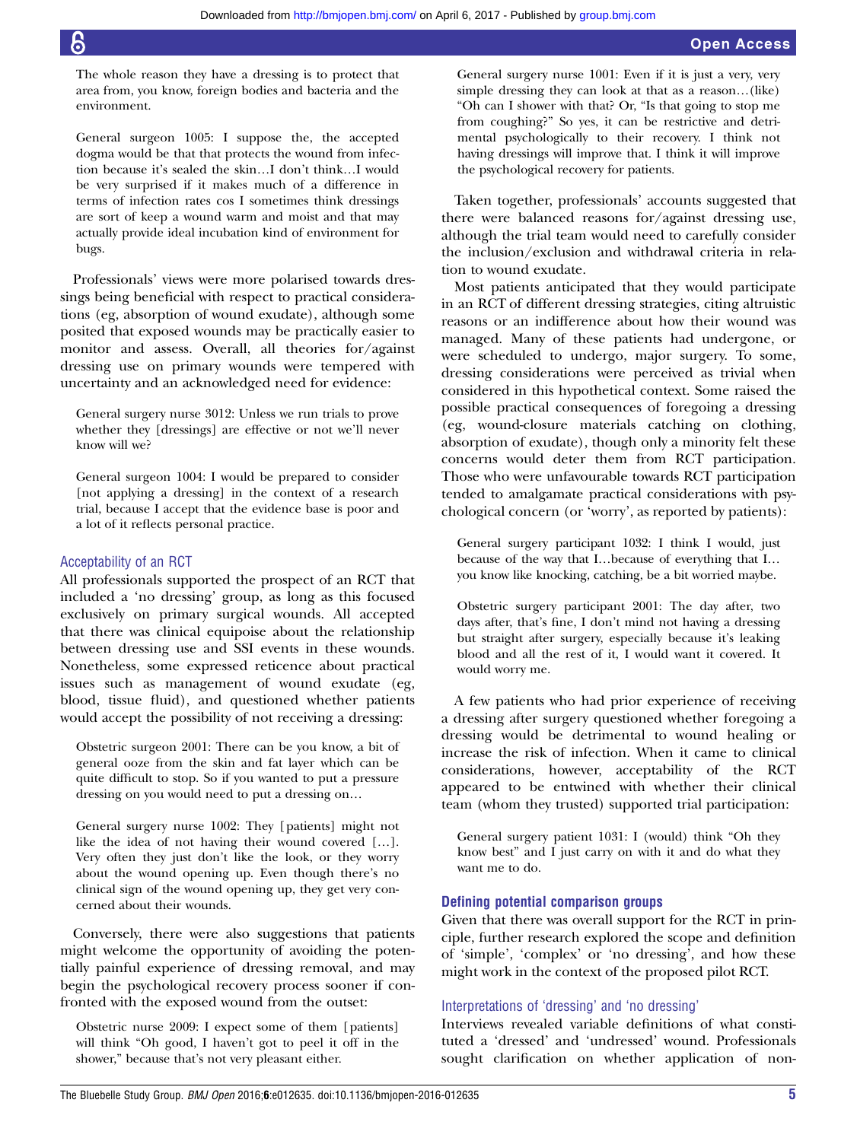The whole reason they have a dressing is to protect that area from, you know, foreign bodies and bacteria and the environment.

General surgeon 1005: I suppose the, the accepted dogma would be that that protects the wound from infection because it's sealed the skin…I don't think…I would be very surprised if it makes much of a difference in terms of infection rates cos I sometimes think dressings are sort of keep a wound warm and moist and that may actually provide ideal incubation kind of environment for bugs.

Professionals' views were more polarised towards dressings being beneficial with respect to practical considerations (eg, absorption of wound exudate), although some posited that exposed wounds may be practically easier to monitor and assess. Overall, all theories for/against dressing use on primary wounds were tempered with uncertainty and an acknowledged need for evidence:

General surgery nurse 3012: Unless we run trials to prove whether they [dressings] are effective or not we'll never know will we?

General surgeon 1004: I would be prepared to consider [not applying a dressing] in the context of a research trial, because I accept that the evidence base is poor and a lot of it reflects personal practice.

#### Acceptability of an RCT

All professionals supported the prospect of an RCT that included a 'no dressing' group, as long as this focused exclusively on primary surgical wounds. All accepted that there was clinical equipoise about the relationship between dressing use and SSI events in these wounds. Nonetheless, some expressed reticence about practical issues such as management of wound exudate (eg, blood, tissue fluid), and questioned whether patients would accept the possibility of not receiving a dressing:

Obstetric surgeon 2001: There can be you know, a bit of general ooze from the skin and fat layer which can be quite difficult to stop. So if you wanted to put a pressure dressing on you would need to put a dressing on…

General surgery nurse 1002: They [patients] might not like the idea of not having their wound covered […]. Very often they just don't like the look, or they worry about the wound opening up. Even though there's no clinical sign of the wound opening up, they get very concerned about their wounds.

Conversely, there were also suggestions that patients might welcome the opportunity of avoiding the potentially painful experience of dressing removal, and may begin the psychological recovery process sooner if confronted with the exposed wound from the outset:

Obstetric nurse 2009: I expect some of them [patients] will think "Oh good, I haven't got to peel it off in the shower," because that's not very pleasant either.

General surgery nurse 1001: Even if it is just a very, very simple dressing they can look at that as a reason…(like) "Oh can I shower with that? Or, "Is that going to stop me from coughing?" So yes, it can be restrictive and detrimental psychologically to their recovery. I think not having dressings will improve that. I think it will improve the psychological recovery for patients.

Taken together, professionals' accounts suggested that there were balanced reasons for/against dressing use, although the trial team would need to carefully consider the inclusion/exclusion and withdrawal criteria in relation to wound exudate.

Most patients anticipated that they would participate in an RCT of different dressing strategies, citing altruistic reasons or an indifference about how their wound was managed. Many of these patients had undergone, or were scheduled to undergo, major surgery. To some, dressing considerations were perceived as trivial when considered in this hypothetical context. Some raised the possible practical consequences of foregoing a dressing (eg, wound-closure materials catching on clothing, absorption of exudate), though only a minority felt these concerns would deter them from RCT participation. Those who were unfavourable towards RCT participation tended to amalgamate practical considerations with psychological concern (or 'worry', as reported by patients):

General surgery participant 1032: I think I would, just because of the way that I…because of everything that I… you know like knocking, catching, be a bit worried maybe.

Obstetric surgery participant 2001: The day after, two days after, that's fine, I don't mind not having a dressing but straight after surgery, especially because it's leaking blood and all the rest of it, I would want it covered. It would worry me.

A few patients who had prior experience of receiving a dressing after surgery questioned whether foregoing a dressing would be detrimental to wound healing or increase the risk of infection. When it came to clinical considerations, however, acceptability of the RCT appeared to be entwined with whether their clinical team (whom they trusted) supported trial participation:

General surgery patient 1031: I (would) think "Oh they know best" and I just carry on with it and do what they want me to do.

#### Defining potential comparison groups

Given that there was overall support for the RCT in principle, further research explored the scope and definition of 'simple', 'complex' or 'no dressing', and how these might work in the context of the proposed pilot RCT.

#### Interpretations of 'dressing' and 'no dressing'

Interviews revealed variable definitions of what constituted a 'dressed' and 'undressed' wound. Professionals sought clarification on whether application of non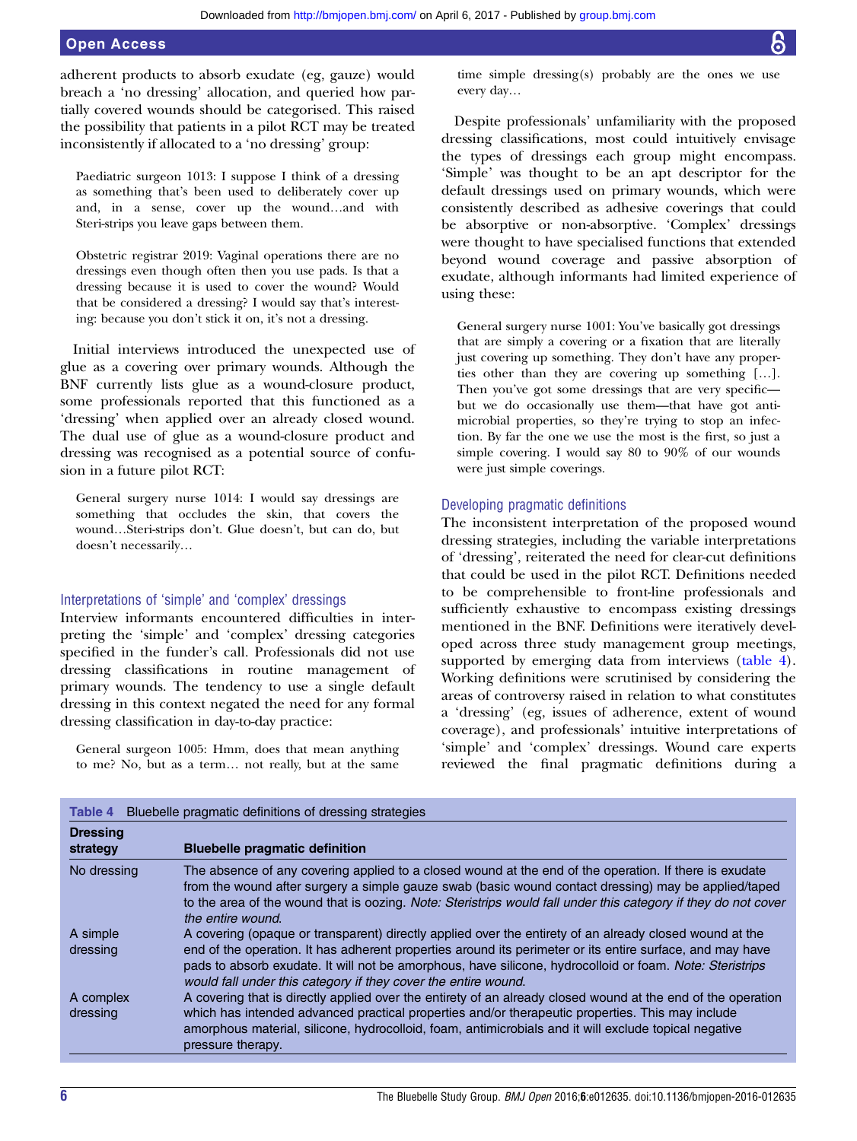adherent products to absorb exudate (eg, gauze) would breach a 'no dressing' allocation, and queried how partially covered wounds should be categorised. This raised the possibility that patients in a pilot RCT may be treated inconsistently if allocated to a 'no dressing' group:

Paediatric surgeon 1013: I suppose I think of a dressing as something that's been used to deliberately cover up and, in a sense, cover up the wound…and with Steri-strips you leave gaps between them.

Obstetric registrar 2019: Vaginal operations there are no dressings even though often then you use pads. Is that a dressing because it is used to cover the wound? Would that be considered a dressing? I would say that's interesting: because you don't stick it on, it's not a dressing.

Initial interviews introduced the unexpected use of glue as a covering over primary wounds. Although the BNF currently lists glue as a wound-closure product, some professionals reported that this functioned as a 'dressing' when applied over an already closed wound. The dual use of glue as a wound-closure product and dressing was recognised as a potential source of confusion in a future pilot RCT:

General surgery nurse 1014: I would say dressings are something that occludes the skin, that covers the wound…Steri-strips don't. Glue doesn't, but can do, but doesn't necessarily…

#### Interpretations of 'simple' and 'complex' dressings

Interview informants encountered difficulties in interpreting the 'simple' and 'complex' dressing categories specified in the funder's call. Professionals did not use dressing classifications in routine management of primary wounds. The tendency to use a single default dressing in this context negated the need for any formal dressing classification in day-to-day practice:

General surgeon 1005: Hmm, does that mean anything to me? No, but as a term… not really, but at the same time simple dressing(s) probably are the ones we use every day…

Despite professionals' unfamiliarity with the proposed dressing classifications, most could intuitively envisage the types of dressings each group might encompass. 'Simple' was thought to be an apt descriptor for the default dressings used on primary wounds, which were consistently described as adhesive coverings that could be absorptive or non-absorptive. 'Complex' dressings were thought to have specialised functions that extended beyond wound coverage and passive absorption of exudate, although informants had limited experience of using these:

General surgery nurse 1001: You've basically got dressings that are simply a covering or a fixation that are literally just covering up something. They don't have any properties other than they are covering up something […]. Then you've got some dressings that are very specific but we do occasionally use them—that have got antimicrobial properties, so they're trying to stop an infection. By far the one we use the most is the first, so just a simple covering. I would say 80 to 90% of our wounds were just simple coverings.

#### Developing pragmatic definitions

The inconsistent interpretation of the proposed wound dressing strategies, including the variable interpretations of 'dressing', reiterated the need for clear-cut definitions that could be used in the pilot RCT. Definitions needed to be comprehensible to front-line professionals and sufficiently exhaustive to encompass existing dressings mentioned in the BNF. Definitions were iteratively developed across three study management group meetings, supported by emerging data from interviews (table 4). Working definitions were scrutinised by considering the areas of controversy raised in relation to what constitutes a 'dressing' (eg, issues of adherence, extent of wound coverage), and professionals' intuitive interpretations of 'simple' and 'complex' dressings. Wound care experts reviewed the final pragmatic definitions during a

| Table 4                     | Bluebelle pragmatic definitions of dressing strategies                                                                                                                                                                                                                                                                                                |
|-----------------------------|-------------------------------------------------------------------------------------------------------------------------------------------------------------------------------------------------------------------------------------------------------------------------------------------------------------------------------------------------------|
| <b>Dressing</b><br>strategy | <b>Bluebelle pragmatic definition</b>                                                                                                                                                                                                                                                                                                                 |
| No dressing                 | The absence of any covering applied to a closed wound at the end of the operation. If there is exudate<br>from the wound after surgery a simple gauze swab (basic wound contact dressing) may be applied/taped<br>to the area of the wound that is oozing. Note: Steristrips would fall under this category if they do not cover<br>the entire wound. |
| A simple                    | A covering (opaque or transparent) directly applied over the entirety of an already closed wound at the                                                                                                                                                                                                                                               |
| dressing                    | end of the operation. It has adherent properties around its perimeter or its entire surface, and may have<br>pads to absorb exudate. It will not be amorphous, have silicone, hydrocolloid or foam. Note: Steristrips<br>would fall under this category if they cover the entire wound.                                                               |
| A complex                   | A covering that is directly applied over the entirety of an already closed wound at the end of the operation                                                                                                                                                                                                                                          |
| dressing                    | which has intended advanced practical properties and/or therapeutic properties. This may include<br>amorphous material, silicone, hydrocolloid, foam, antimicrobials and it will exclude topical negative<br>pressure therapy.                                                                                                                        |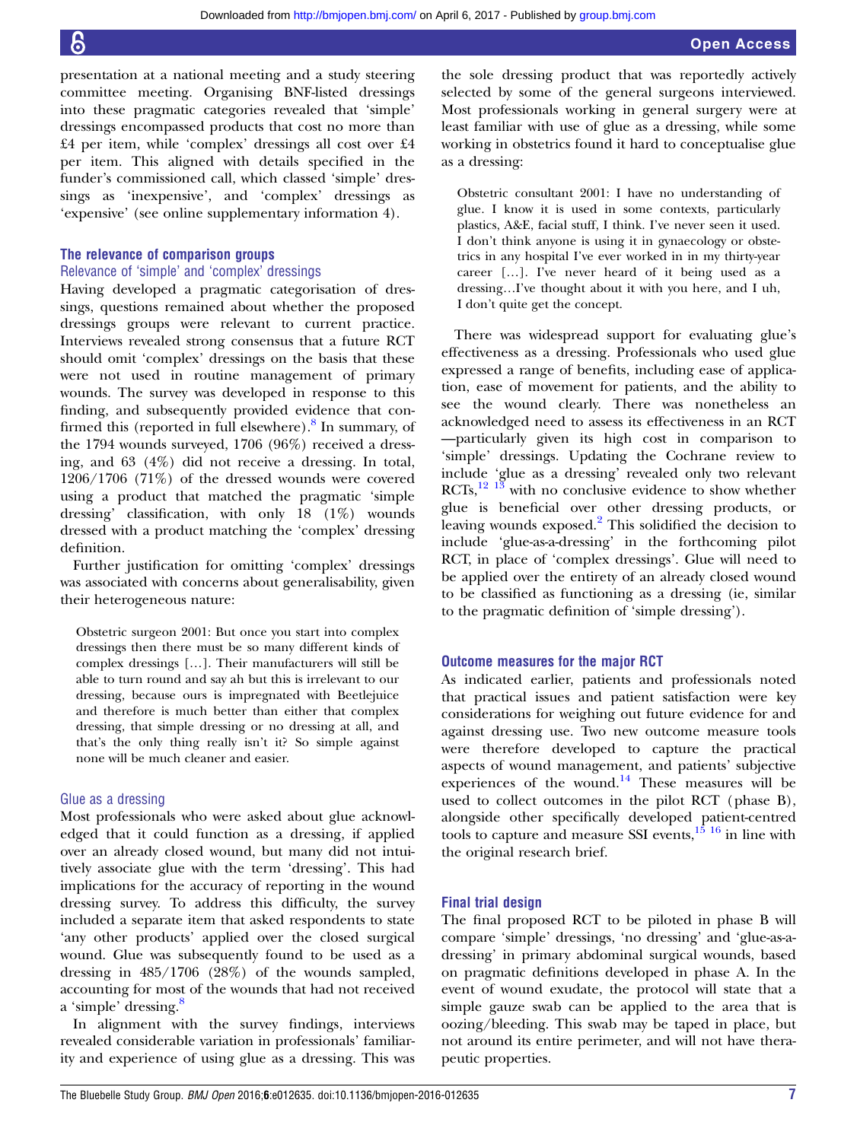presentation at a national meeting and a study steering committee meeting. Organising BNF-listed dressings into these pragmatic categories revealed that 'simple' dressings encompassed products that cost no more than £4 per item, while 'complex' dressings all cost over £4 per item. This aligned with details specified in the funder's commissioned call, which classed 'simple' dressings as 'inexpensive', and 'complex' dressings as 'expensive' (see online supplementary information 4).

#### The relevance of comparison groups

#### Relevance of 'simple' and 'complex' dressings

Having developed a pragmatic categorisation of dressings, questions remained about whether the proposed dressings groups were relevant to current practice. Interviews revealed strong consensus that a future RCT should omit 'complex' dressings on the basis that these were not used in routine management of primary wounds. The survey was developed in response to this finding, and subsequently provided evidence that confirmed this (reported in full elsewhere). $8$  In summary, of the 1794 wounds surveyed, 1706 (96%) received a dressing, and 63 (4%) did not receive a dressing. In total, 1206/1706 (71%) of the dressed wounds were covered using a product that matched the pragmatic 'simple dressing' classification, with only 18 (1%) wounds dressed with a product matching the 'complex' dressing definition.

Further justification for omitting 'complex' dressings was associated with concerns about generalisability, given their heterogeneous nature:

Obstetric surgeon 2001: But once you start into complex dressings then there must be so many different kinds of complex dressings […]. Their manufacturers will still be able to turn round and say ah but this is irrelevant to our dressing, because ours is impregnated with Beetlejuice and therefore is much better than either that complex dressing, that simple dressing or no dressing at all, and that's the only thing really isn't it? So simple against none will be much cleaner and easier.

#### Glue as a dressing

Most professionals who were asked about glue acknowledged that it could function as a dressing, if applied over an already closed wound, but many did not intuitively associate glue with the term 'dressing'. This had implications for the accuracy of reporting in the wound dressing survey. To address this difficulty, the survey included a separate item that asked respondents to state 'any other products' applied over the closed surgical wound. Glue was subsequently found to be used as a dressing in 485/1706 (28%) of the wounds sampled, accounting for most of the wounds that had not received a 'simple' dressing.<sup>[8](#page-11-0)</sup>

In alignment with the survey findings, interviews revealed considerable variation in professionals' familiarity and experience of using glue as a dressing. This was

the sole dressing product that was reportedly actively selected by some of the general surgeons interviewed. Most professionals working in general surgery were at least familiar with use of glue as a dressing, while some working in obstetrics found it hard to conceptualise glue as a dressing:

Obstetric consultant 2001: I have no understanding of glue. I know it is used in some contexts, particularly plastics, A&E, facial stuff, I think. I've never seen it used. I don't think anyone is using it in gynaecology or obstetrics in any hospital I've ever worked in in my thirty-year career […]. I've never heard of it being used as a dressing…I've thought about it with you here, and I uh, I don't quite get the concept.

There was widespread support for evaluating glue's effectiveness as a dressing. Professionals who used glue expressed a range of benefits, including ease of application, ease of movement for patients, and the ability to see the wound clearly. There was nonetheless an acknowledged need to assess its effectiveness in an RCT —particularly given its high cost in comparison to 'simple' dressings. Updating the Cochrane review to include 'glue as a dressing' revealed only two relevant  $RCTs$ ,  $^{12}$  1<sup>3</sup> with no conclusive evidence to show whether glue is beneficial over other dressing products, or leaving wounds exposed.<sup>[2](#page-11-0)</sup> This solidified the decision to include 'glue-as-a-dressing' in the forthcoming pilot RCT, in place of 'complex dressings'. Glue will need to be applied over the entirety of an already closed wound to be classified as functioning as a dressing (ie, similar to the pragmatic definition of 'simple dressing').

#### Outcome measures for the major RCT

As indicated earlier, patients and professionals noted that practical issues and patient satisfaction were key considerations for weighing out future evidence for and against dressing use. Two new outcome measure tools were therefore developed to capture the practical aspects of wound management, and patients' subjective experiences of the wound. $14$  These measures will be used to collect outcomes in the pilot RCT (phase B), alongside other specifically developed patient-centred tools to capture and measure SSI events, $15 \times 16$  in line with the original research brief.

#### Final trial design

The final proposed RCT to be piloted in phase B will compare 'simple' dressings, 'no dressing' and 'glue-as-adressing' in primary abdominal surgical wounds, based on pragmatic definitions developed in phase A. In the event of wound exudate, the protocol will state that a simple gauze swab can be applied to the area that is oozing/bleeding. This swab may be taped in place, but not around its entire perimeter, and will not have therapeutic properties.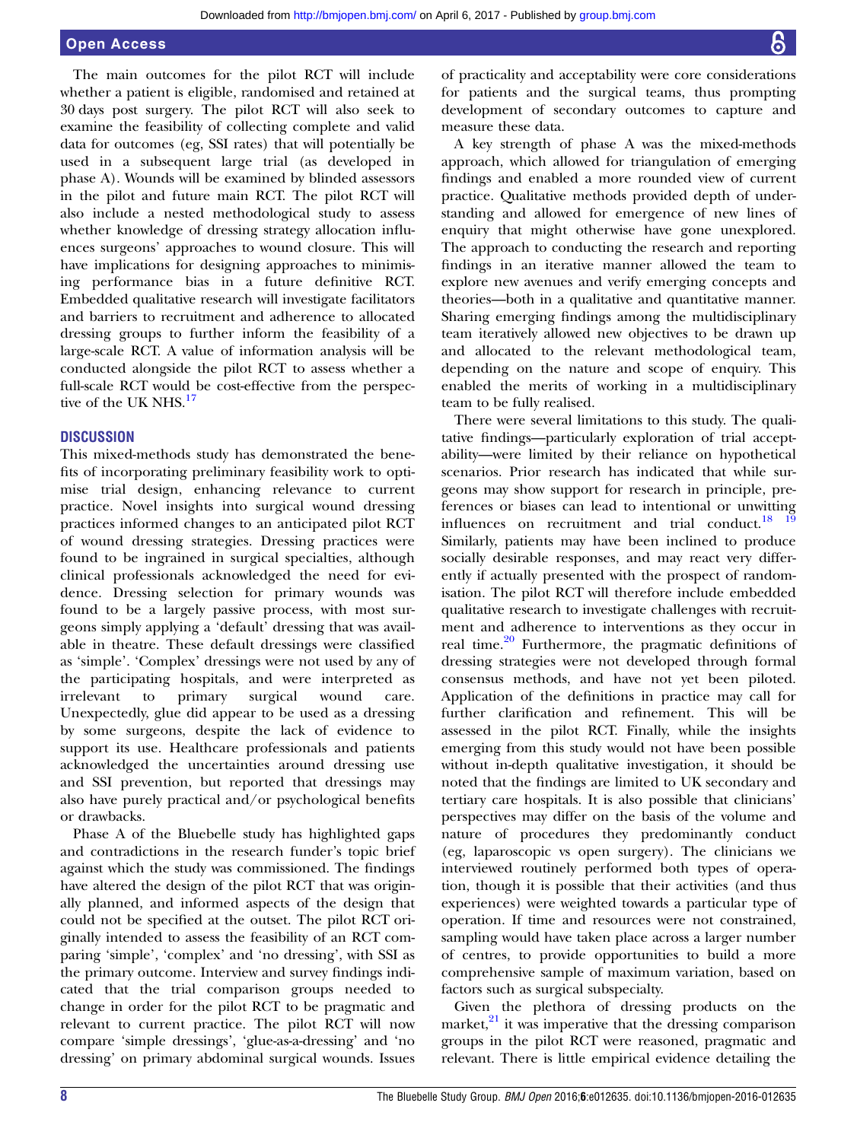The main outcomes for the pilot RCT will include whether a patient is eligible, randomised and retained at 30 days post surgery. The pilot RCT will also seek to examine the feasibility of collecting complete and valid data for outcomes (eg, SSI rates) that will potentially be used in a subsequent large trial (as developed in phase A). Wounds will be examined by blinded assessors in the pilot and future main RCT. The pilot RCT will also include a nested methodological study to assess whether knowledge of dressing strategy allocation influences surgeons' approaches to wound closure. This will have implications for designing approaches to minimising performance bias in a future definitive RCT. Embedded qualitative research will investigate facilitators and barriers to recruitment and adherence to allocated dressing groups to further inform the feasibility of a large-scale RCT. A value of information analysis will be conducted alongside the pilot RCT to assess whether a full-scale RCT would be cost-effective from the perspec-tive of the UK NHS.<sup>[17](#page-11-0)</sup>

#### **DISCUSSION**

This mixed-methods study has demonstrated the benefits of incorporating preliminary feasibility work to optimise trial design, enhancing relevance to current practice. Novel insights into surgical wound dressing practices informed changes to an anticipated pilot RCT of wound dressing strategies. Dressing practices were found to be ingrained in surgical specialties, although clinical professionals acknowledged the need for evidence. Dressing selection for primary wounds was found to be a largely passive process, with most surgeons simply applying a 'default' dressing that was available in theatre. These default dressings were classified as 'simple'. 'Complex' dressings were not used by any of the participating hospitals, and were interpreted as irrelevant to primary surgical wound care. Unexpectedly, glue did appear to be used as a dressing by some surgeons, despite the lack of evidence to support its use. Healthcare professionals and patients acknowledged the uncertainties around dressing use and SSI prevention, but reported that dressings may also have purely practical and/or psychological benefits or drawbacks.

Phase A of the Bluebelle study has highlighted gaps and contradictions in the research funder's topic brief against which the study was commissioned. The findings have altered the design of the pilot RCT that was originally planned, and informed aspects of the design that could not be specified at the outset. The pilot RCT originally intended to assess the feasibility of an RCT comparing 'simple', 'complex' and 'no dressing', with SSI as the primary outcome. Interview and survey findings indicated that the trial comparison groups needed to change in order for the pilot RCT to be pragmatic and relevant to current practice. The pilot RCT will now compare 'simple dressings', 'glue-as-a-dressing' and 'no dressing' on primary abdominal surgical wounds. Issues

of practicality and acceptability were core considerations for patients and the surgical teams, thus prompting development of secondary outcomes to capture and measure these data.

A key strength of phase A was the mixed-methods approach, which allowed for triangulation of emerging findings and enabled a more rounded view of current practice. Qualitative methods provided depth of understanding and allowed for emergence of new lines of enquiry that might otherwise have gone unexplored. The approach to conducting the research and reporting findings in an iterative manner allowed the team to explore new avenues and verify emerging concepts and theories—both in a qualitative and quantitative manner. Sharing emerging findings among the multidisciplinary team iteratively allowed new objectives to be drawn up and allocated to the relevant methodological team, depending on the nature and scope of enquiry. This enabled the merits of working in a multidisciplinary team to be fully realised.

There were several limitations to this study. The qualitative findings—particularly exploration of trial acceptability—were limited by their reliance on hypothetical scenarios. Prior research has indicated that while surgeons may show support for research in principle, preferences or biases can lead to intentional or unwitting influences on recruitment and trial conduct.<sup>18</sup>  $19$ Similarly, patients may have been inclined to produce socially desirable responses, and may react very differently if actually presented with the prospect of randomisation. The pilot RCT will therefore include embedded qualitative research to investigate challenges with recruitment and adherence to interventions as they occur in real time.<sup>[20](#page-11-0)</sup> Furthermore, the pragmatic definitions of dressing strategies were not developed through formal consensus methods, and have not yet been piloted. Application of the definitions in practice may call for further clarification and refinement. This will be assessed in the pilot RCT. Finally, while the insights emerging from this study would not have been possible without in-depth qualitative investigation, it should be noted that the findings are limited to UK secondary and tertiary care hospitals. It is also possible that clinicians' perspectives may differ on the basis of the volume and nature of procedures they predominantly conduct (eg, laparoscopic vs open surgery). The clinicians we interviewed routinely performed both types of operation, though it is possible that their activities (and thus experiences) were weighted towards a particular type of operation. If time and resources were not constrained, sampling would have taken place across a larger number of centres, to provide opportunities to build a more comprehensive sample of maximum variation, based on factors such as surgical subspecialty.

Given the plethora of dressing products on the market, $^{21}$  $^{21}$  $^{21}$  it was imperative that the dressing comparison groups in the pilot RCT were reasoned, pragmatic and relevant. There is little empirical evidence detailing the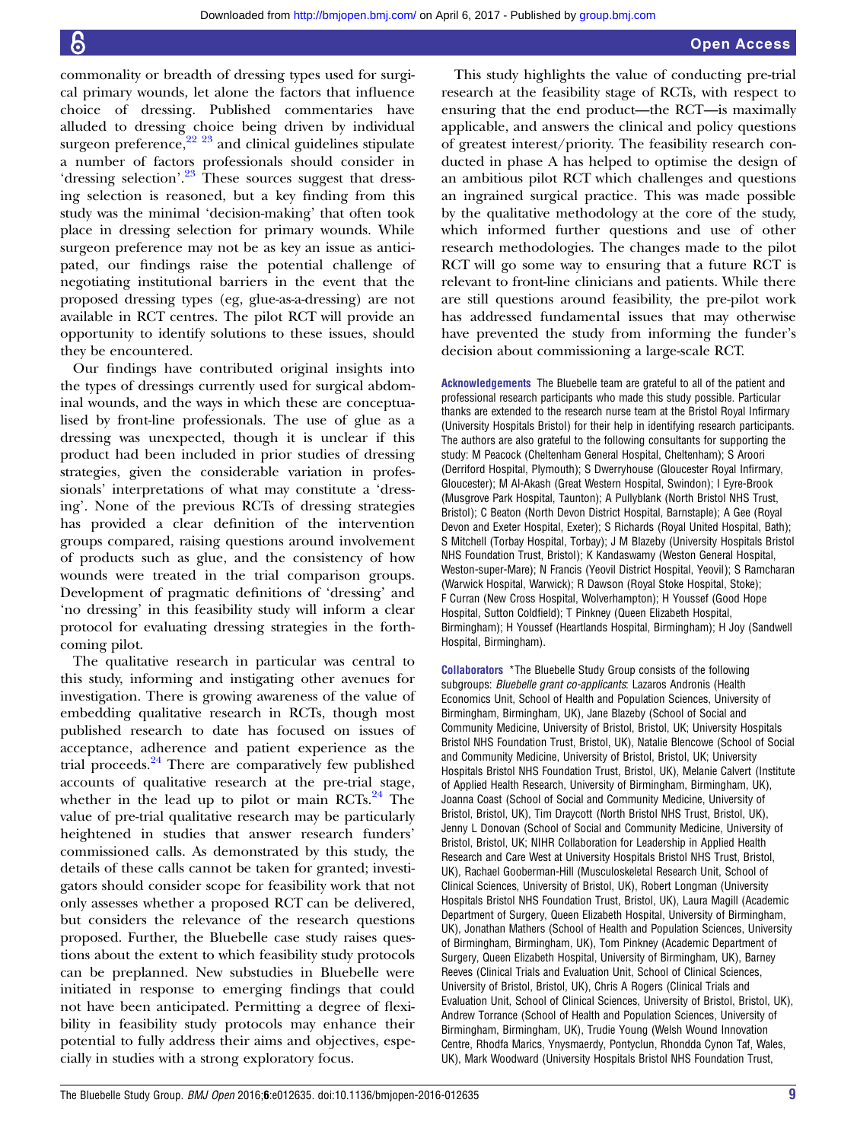commonality or breadth of dressing types used for surgical primary wounds, let alone the factors that influence choice of dressing. Published commentaries have alluded to dressing choice being driven by individual surgeon preference,<sup>22</sup> <sup>23</sup> and clinical guidelines stipulate a number of factors professionals should consider in 'dressing selection'.<sup>[23](#page-11-0)</sup> These sources suggest that dressing selection is reasoned, but a key finding from this study was the minimal 'decision-making' that often took place in dressing selection for primary wounds. While surgeon preference may not be as key an issue as anticipated, our findings raise the potential challenge of negotiating institutional barriers in the event that the proposed dressing types (eg, glue-as-a-dressing) are not available in RCT centres. The pilot RCT will provide an opportunity to identify solutions to these issues, should they be encountered.

Our findings have contributed original insights into the types of dressings currently used for surgical abdominal wounds, and the ways in which these are conceptualised by front-line professionals. The use of glue as a dressing was unexpected, though it is unclear if this product had been included in prior studies of dressing strategies, given the considerable variation in professionals' interpretations of what may constitute a 'dressing'. None of the previous RCTs of dressing strategies has provided a clear definition of the intervention groups compared, raising questions around involvement of products such as glue, and the consistency of how wounds were treated in the trial comparison groups. Development of pragmatic definitions of 'dressing' and 'no dressing' in this feasibility study will inform a clear protocol for evaluating dressing strategies in the forthcoming pilot.

The qualitative research in particular was central to this study, informing and instigating other avenues for investigation. There is growing awareness of the value of embedding qualitative research in RCTs, though most published research to date has focused on issues of acceptance, adherence and patient experience as the trial proceeds. $24$  There are comparatively few published accounts of qualitative research at the pre-trial stage, whether in the lead up to pilot or main RCTs. $^{24}$  $^{24}$  $^{24}$  The value of pre-trial qualitative research may be particularly heightened in studies that answer research funders' commissioned calls. As demonstrated by this study, the details of these calls cannot be taken for granted; investigators should consider scope for feasibility work that not only assesses whether a proposed RCT can be delivered, but considers the relevance of the research questions proposed. Further, the Bluebelle case study raises questions about the extent to which feasibility study protocols can be preplanned. New substudies in Bluebelle were initiated in response to emerging findings that could not have been anticipated. Permitting a degree of flexibility in feasibility study protocols may enhance their potential to fully address their aims and objectives, especially in studies with a strong exploratory focus.

This study highlights the value of conducting pre-trial research at the feasibility stage of RCTs, with respect to ensuring that the end product—the RCT—is maximally applicable, and answers the clinical and policy questions of greatest interest/priority. The feasibility research conducted in phase A has helped to optimise the design of an ambitious pilot RCT which challenges and questions an ingrained surgical practice. This was made possible by the qualitative methodology at the core of the study, which informed further questions and use of other research methodologies. The changes made to the pilot RCT will go some way to ensuring that a future RCT is relevant to front-line clinicians and patients. While there are still questions around feasibility, the pre-pilot work has addressed fundamental issues that may otherwise have prevented the study from informing the funder's decision about commissioning a large-scale RCT.

Acknowledgements The Bluebelle team are grateful to all of the patient and professional research participants who made this study possible. Particular thanks are extended to the research nurse team at the Bristol Royal Infirmary (University Hospitals Bristol) for their help in identifying research participants. The authors are also grateful to the following consultants for supporting the study: M Peacock (Cheltenham General Hospital, Cheltenham); S Aroori (Derriford Hospital, Plymouth); S Dwerryhouse (Gloucester Royal Infirmary, Gloucester); M Al-Akash (Great Western Hospital, Swindon); I Eyre-Brook (Musgrove Park Hospital, Taunton); A Pullyblank (North Bristol NHS Trust, Bristol); C Beaton (North Devon District Hospital, Barnstaple); A Gee (Royal Devon and Exeter Hospital, Exeter); S Richards (Royal United Hospital, Bath); S Mitchell (Torbay Hospital, Torbay); J M Blazeby (University Hospitals Bristol NHS Foundation Trust, Bristol); K Kandaswamy (Weston General Hospital, Weston-super-Mare); N Francis (Yeovil District Hospital, Yeovil); S Ramcharan (Warwick Hospital, Warwick); R Dawson (Royal Stoke Hospital, Stoke); F Curran (New Cross Hospital, Wolverhampton); H Youssef (Good Hope Hospital, Sutton Coldfield); T Pinkney (Queen Elizabeth Hospital, Birmingham); H Youssef (Heartlands Hospital, Birmingham); H Joy (Sandwell Hospital, Birmingham).

Collaborators \*The Bluebelle Study Group consists of the following subgroups: Bluebelle grant co-applicants: Lazaros Andronis (Health Economics Unit, School of Health and Population Sciences, University of Birmingham, Birmingham, UK), Jane Blazeby (School of Social and Community Medicine, University of Bristol, Bristol, UK; University Hospitals Bristol NHS Foundation Trust, Bristol, UK), Natalie Blencowe (School of Social and Community Medicine, University of Bristol, Bristol, UK; University Hospitals Bristol NHS Foundation Trust, Bristol, UK), Melanie Calvert (Institute of Applied Health Research, University of Birmingham, Birmingham, UK), Joanna Coast (School of Social and Community Medicine, University of Bristol, Bristol, UK), Tim Draycott (North Bristol NHS Trust, Bristol, UK), Jenny L Donovan (School of Social and Community Medicine, University of Bristol, Bristol, UK; NIHR Collaboration for Leadership in Applied Health Research and Care West at University Hospitals Bristol NHS Trust, Bristol, UK), Rachael Gooberman-Hill (Musculoskeletal Research Unit, School of Clinical Sciences, University of Bristol, UK), Robert Longman (University Hospitals Bristol NHS Foundation Trust, Bristol, UK), Laura Magill (Academic Department of Surgery, Queen Elizabeth Hospital, University of Birmingham, UK), Jonathan Mathers (School of Health and Population Sciences, University of Birmingham, Birmingham, UK), Tom Pinkney (Academic Department of Surgery, Queen Elizabeth Hospital, University of Birmingham, UK), Barney Reeves (Clinical Trials and Evaluation Unit, School of Clinical Sciences, University of Bristol, Bristol, UK), Chris A Rogers (Clinical Trials and Evaluation Unit, School of Clinical Sciences, University of Bristol, Bristol, UK), Andrew Torrance (School of Health and Population Sciences, University of Birmingham, Birmingham, UK), Trudie Young (Welsh Wound Innovation Centre, Rhodfa Marics, Ynysmaerdy, Pontyclun, Rhondda Cynon Taf, Wales, UK), Mark Woodward (University Hospitals Bristol NHS Foundation Trust,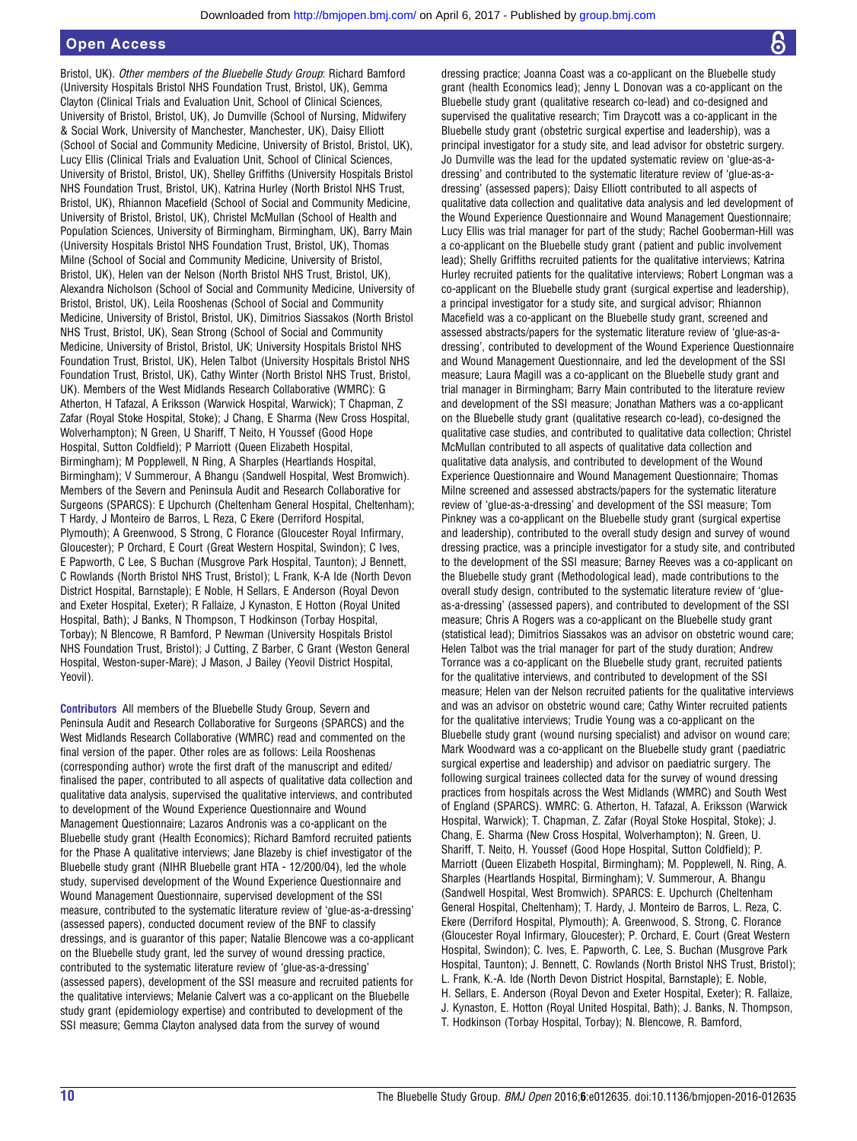Bristol, UK). Other members of the Bluebelle Study Group: Richard Bamford (University Hospitals Bristol NHS Foundation Trust, Bristol, UK), Gemma Clayton (Clinical Trials and Evaluation Unit, School of Clinical Sciences, University of Bristol, Bristol, UK), Jo Dumville (School of Nursing, Midwifery & Social Work, University of Manchester, Manchester, UK), Daisy Elliott (School of Social and Community Medicine, University of Bristol, Bristol, UK), Lucy Ellis (Clinical Trials and Evaluation Unit, School of Clinical Sciences, University of Bristol, Bristol, UK), Shelley Griffiths (University Hospitals Bristol NHS Foundation Trust, Bristol, UK), Katrina Hurley (North Bristol NHS Trust, Bristol, UK), Rhiannon Macefield (School of Social and Community Medicine, University of Bristol, Bristol, UK), Christel McMullan (School of Health and Population Sciences, University of Birmingham, Birmingham, UK), Barry Main (University Hospitals Bristol NHS Foundation Trust, Bristol, UK), Thomas Milne (School of Social and Community Medicine, University of Bristol, Bristol, UK), Helen van der Nelson (North Bristol NHS Trust, Bristol, UK), Alexandra Nicholson (School of Social and Community Medicine, University of Bristol, Bristol, UK), Leila Rooshenas (School of Social and Community Medicine, University of Bristol, Bristol, UK), Dimitrios Siassakos (North Bristol NHS Trust, Bristol, UK), Sean Strong (School of Social and Community Medicine, University of Bristol, Bristol, UK; University Hospitals Bristol NHS Foundation Trust, Bristol, UK), Helen Talbot (University Hospitals Bristol NHS Foundation Trust, Bristol, UK), Cathy Winter (North Bristol NHS Trust, Bristol, UK). Members of the West Midlands Research Collaborative (WMRC): G Atherton, H Tafazal, A Eriksson (Warwick Hospital, Warwick); T Chapman, Z Zafar (Royal Stoke Hospital, Stoke); J Chang, E Sharma (New Cross Hospital, Wolverhampton); N Green, U Shariff, T Neito, H Youssef (Good Hope Hospital, Sutton Coldfield); P Marriott (Queen Elizabeth Hospital, Birmingham); M Popplewell, N Ring, A Sharples (Heartlands Hospital, Birmingham); V Summerour, A Bhangu (Sandwell Hospital, West Bromwich). Members of the Severn and Peninsula Audit and Research Collaborative for Surgeons (SPARCS): E Upchurch (Cheltenham General Hospital, Cheltenham); T Hardy, J Monteiro de Barros, L Reza, C Ekere (Derriford Hospital, Plymouth); A Greenwood, S Strong, C Florance (Gloucester Royal Infirmary, Gloucester); P Orchard, E Court (Great Western Hospital, Swindon); C Ives, E Papworth, C Lee, S Buchan (Musgrove Park Hospital, Taunton); J Bennett, C Rowlands (North Bristol NHS Trust, Bristol); L Frank, K-A Ide (North Devon District Hospital, Barnstaple); E Noble, H Sellars, E Anderson (Royal Devon and Exeter Hospital, Exeter); R Fallaize, J Kynaston, E Hotton (Royal United Hospital, Bath); J Banks, N Thompson, T Hodkinson (Torbay Hospital, Torbay); N Blencowe, R Bamford, P Newman (University Hospitals Bristol NHS Foundation Trust, Bristol); J Cutting, Z Barber, C Grant (Weston General Hospital, Weston-super-Mare); J Mason, J Bailey (Yeovil District Hospital, Yeovil).

Contributors All members of the Bluebelle Study Group, Severn and Peninsula Audit and Research Collaborative for Surgeons (SPARCS) and the West Midlands Research Collaborative (WMRC) read and commented on the final version of the paper. Other roles are as follows: Leila Rooshenas (corresponding author) wrote the first draft of the manuscript and edited/ finalised the paper, contributed to all aspects of qualitative data collection and qualitative data analysis, supervised the qualitative interviews, and contributed to development of the Wound Experience Questionnaire and Wound Management Questionnaire; Lazaros Andronis was a co-applicant on the Bluebelle study grant (Health Economics); Richard Bamford recruited patients for the Phase A qualitative interviews; Jane Blazeby is chief investigator of the Bluebelle study grant (NIHR Bluebelle grant HTA - 12/200/04), led the whole study, supervised development of the Wound Experience Questionnaire and Wound Management Questionnaire, supervised development of the SSI measure, contributed to the systematic literature review of 'glue-as-a-dressing' (assessed papers), conducted document review of the BNF to classify dressings, and is guarantor of this paper; Natalie Blencowe was a co-applicant on the Bluebelle study grant, led the survey of wound dressing practice, contributed to the systematic literature review of 'glue-as-a-dressing' (assessed papers), development of the SSI measure and recruited patients for the qualitative interviews; Melanie Calvert was a co-applicant on the Bluebelle study grant (epidemiology expertise) and contributed to development of the SSI measure; Gemma Clayton analysed data from the survey of wound

dressing practice; Joanna Coast was a co-applicant on the Bluebelle study grant (health Economics lead); Jenny L Donovan was a co-applicant on the Bluebelle study grant (qualitative research co-lead) and co-designed and supervised the qualitative research; Tim Draycott was a co-applicant in the Bluebelle study grant (obstetric surgical expertise and leadership), was a principal investigator for a study site, and lead advisor for obstetric surgery. Jo Dumville was the lead for the updated systematic review on 'glue-as-adressing' and contributed to the systematic literature review of 'glue-as-adressing' (assessed papers); Daisy Elliott contributed to all aspects of qualitative data collection and qualitative data analysis and led development of the Wound Experience Questionnaire and Wound Management Questionnaire; Lucy Ellis was trial manager for part of the study; Rachel Gooberman-Hill was a co-applicant on the Bluebelle study grant ( patient and public involvement lead); Shelly Griffiths recruited patients for the qualitative interviews; Katrina Hurley recruited patients for the qualitative interviews; Robert Longman was a co-applicant on the Bluebelle study grant (surgical expertise and leadership), a principal investigator for a study site, and surgical advisor; Rhiannon Macefield was a co-applicant on the Bluebelle study grant, screened and assessed abstracts/papers for the systematic literature review of 'glue-as-adressing', contributed to development of the Wound Experience Questionnaire and Wound Management Questionnaire, and led the development of the SSI measure; Laura Magill was a co-applicant on the Bluebelle study grant and trial manager in Birmingham; Barry Main contributed to the literature review and development of the SSI measure; Jonathan Mathers was a co-applicant on the Bluebelle study grant (qualitative research co-lead), co-designed the qualitative case studies, and contributed to qualitative data collection; Christel McMullan contributed to all aspects of qualitative data collection and qualitative data analysis, and contributed to development of the Wound Experience Questionnaire and Wound Management Questionnaire; Thomas Milne screened and assessed abstracts/papers for the systematic literature review of 'glue-as-a-dressing' and development of the SSI measure; Tom Pinkney was a co-applicant on the Bluebelle study grant (surgical expertise and leadership), contributed to the overall study design and survey of wound dressing practice, was a principle investigator for a study site, and contributed to the development of the SSI measure; Barney Reeves was a co-applicant on the Bluebelle study grant (Methodological lead), made contributions to the overall study design, contributed to the systematic literature review of 'glueas-a-dressing' (assessed papers), and contributed to development of the SSI measure; Chris A Rogers was a co-applicant on the Bluebelle study grant (statistical lead); Dimitrios Siassakos was an advisor on obstetric wound care; Helen Talbot was the trial manager for part of the study duration; Andrew Torrance was a co-applicant on the Bluebelle study grant, recruited patients for the qualitative interviews, and contributed to development of the SSI measure; Helen van der Nelson recruited patients for the qualitative interviews and was an advisor on obstetric wound care; Cathy Winter recruited patients for the qualitative interviews; Trudie Young was a co-applicant on the Bluebelle study grant (wound nursing specialist) and advisor on wound care; Mark Woodward was a co-applicant on the Bluebelle study grant ( paediatric surgical expertise and leadership) and advisor on paediatric surgery. The following surgical trainees collected data for the survey of wound dressing practices from hospitals across the West Midlands (WMRC) and South West of England (SPARCS). WMRC: G. Atherton, H. Tafazal, A. Eriksson (Warwick Hospital, Warwick); T. Chapman, Z. Zafar (Royal Stoke Hospital, Stoke); J. Chang, E. Sharma (New Cross Hospital, Wolverhampton); N. Green, U. Shariff, T. Neito, H. Youssef (Good Hope Hospital, Sutton Coldfield); P. Marriott (Queen Elizabeth Hospital, Birmingham); M. Popplewell, N. Ring, A. Sharples (Heartlands Hospital, Birmingham); V. Summerour, A. Bhangu (Sandwell Hospital, West Bromwich). SPARCS: E. Upchurch (Cheltenham General Hospital, Cheltenham); T. Hardy, J. Monteiro de Barros, L. Reza, C. Ekere (Derriford Hospital, Plymouth); A. Greenwood, S. Strong, C. Florance (Gloucester Royal Infirmary, Gloucester); P. Orchard, E. Court (Great Western Hospital, Swindon); C. Ives, E. Papworth, C. Lee, S. Buchan (Musgrove Park Hospital, Taunton); J. Bennett, C. Rowlands (North Bristol NHS Trust, Bristol); L. Frank, K.-A. Ide (North Devon District Hospital, Barnstaple); E. Noble, H. Sellars, E. Anderson (Royal Devon and Exeter Hospital, Exeter); R. Fallaize, J. Kynaston, E. Hotton (Royal United Hospital, Bath); J. Banks, N. Thompson, T. Hodkinson (Torbay Hospital, Torbay); N. Blencowe, R. Bamford,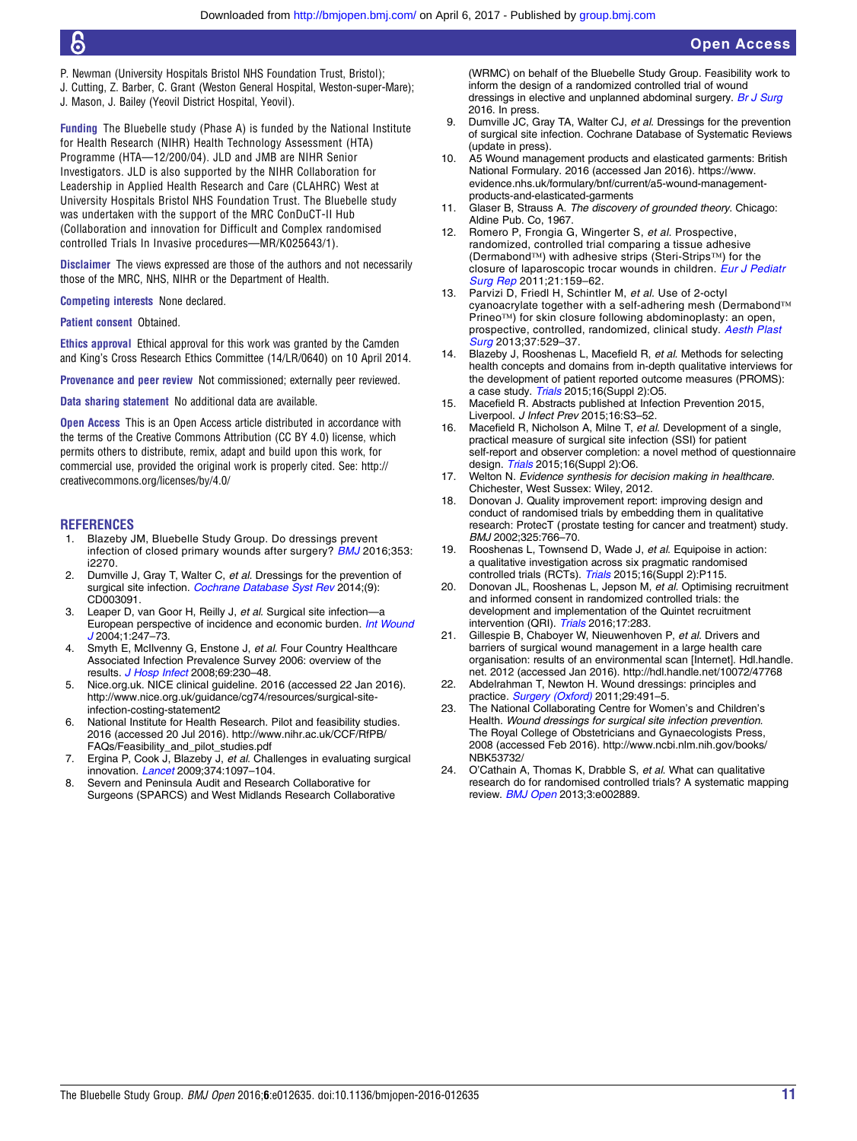- <span id="page-11-0"></span>P. Newman (University Hospitals Bristol NHS Foundation Trust, Bristol);
- J. Cutting, Z. Barber, C. Grant (Weston General Hospital, Weston-super-Mare);
- J. Mason, J. Bailey (Yeovil District Hospital, Yeovil).

Funding The Bluebelle study (Phase A) is funded by the National Institute for Health Research (NIHR) Health Technology Assessment (HTA) Programme (HTA—12/200/04). JLD and JMB are NIHR Senior Investigators. JLD is also supported by the NIHR Collaboration for Leadership in Applied Health Research and Care (CLAHRC) West at University Hospitals Bristol NHS Foundation Trust. The Bluebelle study was undertaken with the support of the MRC ConDuCT-II Hub (Collaboration and innovation for Difficult and Complex randomised controlled Trials In Invasive procedures—MR/K025643/1).

Disclaimer The views expressed are those of the authors and not necessarily those of the MRC, NHS, NIHR or the Department of Health.

Competing interests None declared.

Patient consent Obtained.

Ethics approval Ethical approval for this work was granted by the Camden and King's Cross Research Ethics Committee (14/LR/0640) on 10 April 2014.

Provenance and peer review Not commissioned; externally peer reviewed.

Data sharing statement No additional data are available.

**Open Access** This is an Open Access article distributed in accordance with the terms of the Creative Commons Attribution (CC BY 4.0) license, which permits others to distribute, remix, adapt and build upon this work, for commercial use, provided the original work is properly cited. See: [http://](http://creativecommons.org/licenses/by/4.0/) [creativecommons.org/licenses/by/4.0/](http://creativecommons.org/licenses/by/4.0/)

#### **REFERENCES**

- 1. Blazeby JM, Bluebelle Study Group. Do dressings prevent infection of closed primary wounds after surgery? **[BMJ](http://dx.doi.org/10.1136/bmj.i2270)** 2016;353: i2270.
- 2. Dumville J, Gray T, Walter C, et al. Dressings for the prevention of surgical site infection. [Cochrane Database Syst Rev](http://dx.doi.org/10.1002/14651858.CD003091.pub3) 2014;(9): CD003091.
- 3. Leaper D, van Goor H, Reilly J, et al. Surgical site infection—a European perspective of incidence and economic burden. [Int Wound](http://dx.doi.org/10.1111/j.1742-4801.2004.00067.x) [J](http://dx.doi.org/10.1111/j.1742-4801.2004.00067.x) 2004;1:247–73.
- 4. Smyth E, McIlvenny G, Enstone J, et al. Four Country Healthcare Associated Infection Prevalence Survey 2006: overview of the results. [J Hosp Infect](http://dx.doi.org/10.1016/j.jhin.2008.04.020) 2008;69:230–48.
- 5. Nice.org.uk. NICE clinical guideline. 2016 (accessed 22 Jan 2016). [http://www.nice.org.uk/guidance/cg74/resources/surgical-site](http://www.nice.org.uk/guidance/cg74/resources/surgical-site-infection-costing-statement2)[infection-costing-statement2](http://www.nice.org.uk/guidance/cg74/resources/surgical-site-infection-costing-statement2)
- 6. National Institute for Health Research. Pilot and feasibility studies. 2016 (accessed 20 Jul 2016). [http://www.nihr.ac.uk/CCF/RfPB/](http://www.nihr.ac.uk/CCF/RfPB/FAQs/Feasibility_and_pilot_studies.pdf) [FAQs/Feasibility\\_and\\_pilot\\_studies.pdf](http://www.nihr.ac.uk/CCF/RfPB/FAQs/Feasibility_and_pilot_studies.pdf)
- 7. Ergina P, Cook J, Blazeby J, et al. Challenges in evaluating surgical innovation. *[Lancet](http://dx.doi.org/10.1016/S0140-6736(09)61086-2)* 2009;374:1097-104.
- 8. Severn and Peninsula Audit and Research Collaborative for Surgeons (SPARCS) and West Midlands Research Collaborative

(WRMC) on behalf of the Bluebelle Study Group. Feasibility work to inform the design of a randomized controlled trial of wound dressings in elective and unplanned abdominal surgery. [Br J Surg](http://dx.doi.org/10.1002/bjs.10274) 2016. In press.

- 9. Dumville JC, Gray TA, Walter CJ, et al. Dressings for the prevention of surgical site infection. Cochrane Database of Systematic Reviews (update in press).
- 10. A5 Wound management products and elasticated garments: British National Formulary. 2016 (accessed Jan 2016). [https://www.](https://www.evidence.nhs.uk/formulary/bnf/current/a5-wound-management-products-and-elasticated-garments) [evidence.nhs.uk/formulary/bnf/current/a5-wound-management](https://www.evidence.nhs.uk/formulary/bnf/current/a5-wound-management-products-and-elasticated-garments)[products-and-elasticated-garments](https://www.evidence.nhs.uk/formulary/bnf/current/a5-wound-management-products-and-elasticated-garments)
- 11. Glaser B, Strauss A. The discovery of grounded theory. Chicago: Aldine Pub. Co, 1967.
- 12. Romero P, Frongia G, Wingerter S, et al. Prospective, randomized, controlled trial comparing a tissue adhesive (Dermabond™) with adhesive strips (Steri-Strips™) for the closure of laparoscopic trocar wounds in children. [Eur J Pediatr](http://dx.doi.org/10.1055/s-0030-1270458) [Surg Rep](http://dx.doi.org/10.1055/s-0030-1270458) 2011;21:159–62.
- 13. Parvizi D, Friedl H, Schintler M, et al. Use of 2-octyl cyanoacrylate together with a self-adhering mesh (Dermabond™ Prineo™) for skin closure following abdominoplasty: an open, prospective, controlled, randomized, clinical study. [Aesth Plast](http://dx.doi.org/10.1007/s00266-013-0123-3) [Surg](http://dx.doi.org/10.1007/s00266-013-0123-3) 2013;37:529-37.
- 14. Blazeby J, Rooshenas L, Macefield R, et al. Methods for selecting health concepts and domains from in-depth qualitative interviews for the development of patient reported outcome measures (PROMS): a case study. [Trials](http://dx.doi.org/10.1186/1745-6215-16-S2-O5) 2015;16(Suppl 2):O5.
- 15. Macefield R. Abstracts published at Infection Prevention 2015, Liverpool. J Infect Prev 2015;16:S3–52.
- 16. Macefield R, Nicholson A, Milne T, et al. Development of a single, practical measure of surgical site infection (SSI) for patient self-report and observer completion: a novel method of questionnaire design. [Trials](http://dx.doi.org/10.1186/1745-6215-16-S2-O6) 2015;16(Suppl 2):O6.
- 17. Welton N. Evidence synthesis for decision making in healthcare. Chichester, West Sussex: Wiley, 2012.
- 18. Donovan J. Quality improvement report: improving design and conduct of randomised trials by embedding them in qualitative research: ProtecT (prostate testing for cancer and treatment) study. BMJ 2002;325:766–70.
- 19. Rooshenas L, Townsend D, Wade J, et al. Equipoise in action: a qualitative investigation across six pragmatic randomised controlled trials (RCTs). [Trials](http://dx.doi.org/10.1186/1745-6215-16-S2-P115) 2015;16(Suppl 2):P115.
- 20. Donovan JL, Rooshenas L, Jepson M, et al. Optimising recruitment and informed consent in randomized controlled trials: the development and implementation of the Quintet recruitment intervention (QRI). [Trials](http://dx.doi.org/10.1186/s13063-016-1391-4) 2016;17:283.
- 21. Gillespie B, Chaboyer W, Nieuwenhoven P, et al. Drivers and barriers of surgical wound management in a large health care organisation: results of an environmental scan [Internet]. Hdl.handle. net. 2012 (accessed Jan 2016).<http://hdl.handle.net/10072/47768>
- 22. Abdelrahman T, Newton H. Wound dressings: principles and practice. [Surgery \(Oxford\)](http://dx.doi.org/10.1016/j.mpsur.2011.06.007) 2011;29:491-5.
- 23. The National Collaborating Centre for Women's and Children's Health. Wound dressings for surgical site infection prevention. The Royal College of Obstetricians and Gynaecologists Press, 2008 (accessed Feb 2016). [http://www.ncbi.nlm.nih.gov/books/](http://www.ncbi.nlm.nih.gov/books/NBK53732/) [NBK53732/](http://www.ncbi.nlm.nih.gov/books/NBK53732/)
- 24. O'Cathain A, Thomas K, Drabble S, et al. What can qualitative research do for randomised controlled trials? A systematic mapping review. **[BMJ Open](http://dx.doi.org/10.1136/bmjopen-2013-002889) 2013;3:e002889.**